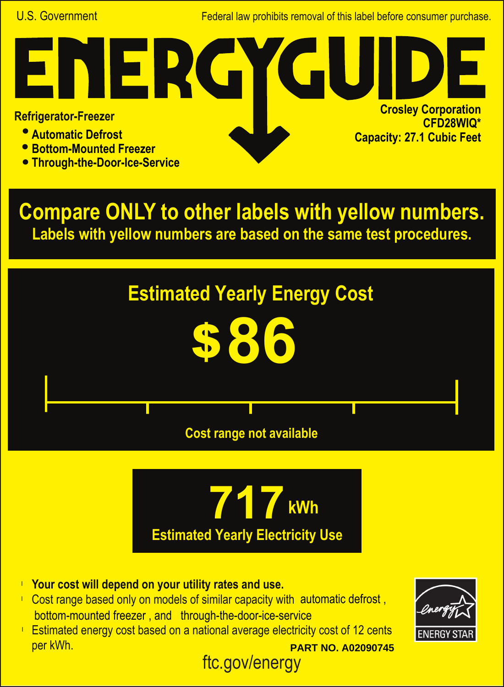U.S. Government Federal law prohibits removal of this label before consumer purchase.

## NER **Crosley Corporation Refrigerator-Freezer CFD28WIQ\* Automatic Defrost Capacity: 27.1 Cubic Feet**

- **Bottom-Mounted Freezer**
- **Through-the-Door-Ice-Service**

**Compare ONLY to other labels with yellow numbers. Labels with yellow numbers are based on the same test procedures.**





ftc.gov/energy

- **Your cost will depend on your utility rates and use.** l
- Cost range based only on models of similar capacity with automatic defrost, bottom-mounted freezer , and through-the-door-ice-service
- **Estimated energy cost based on a national average electricity cost of 12 cents** per kWh. **PART NO. A02090745**